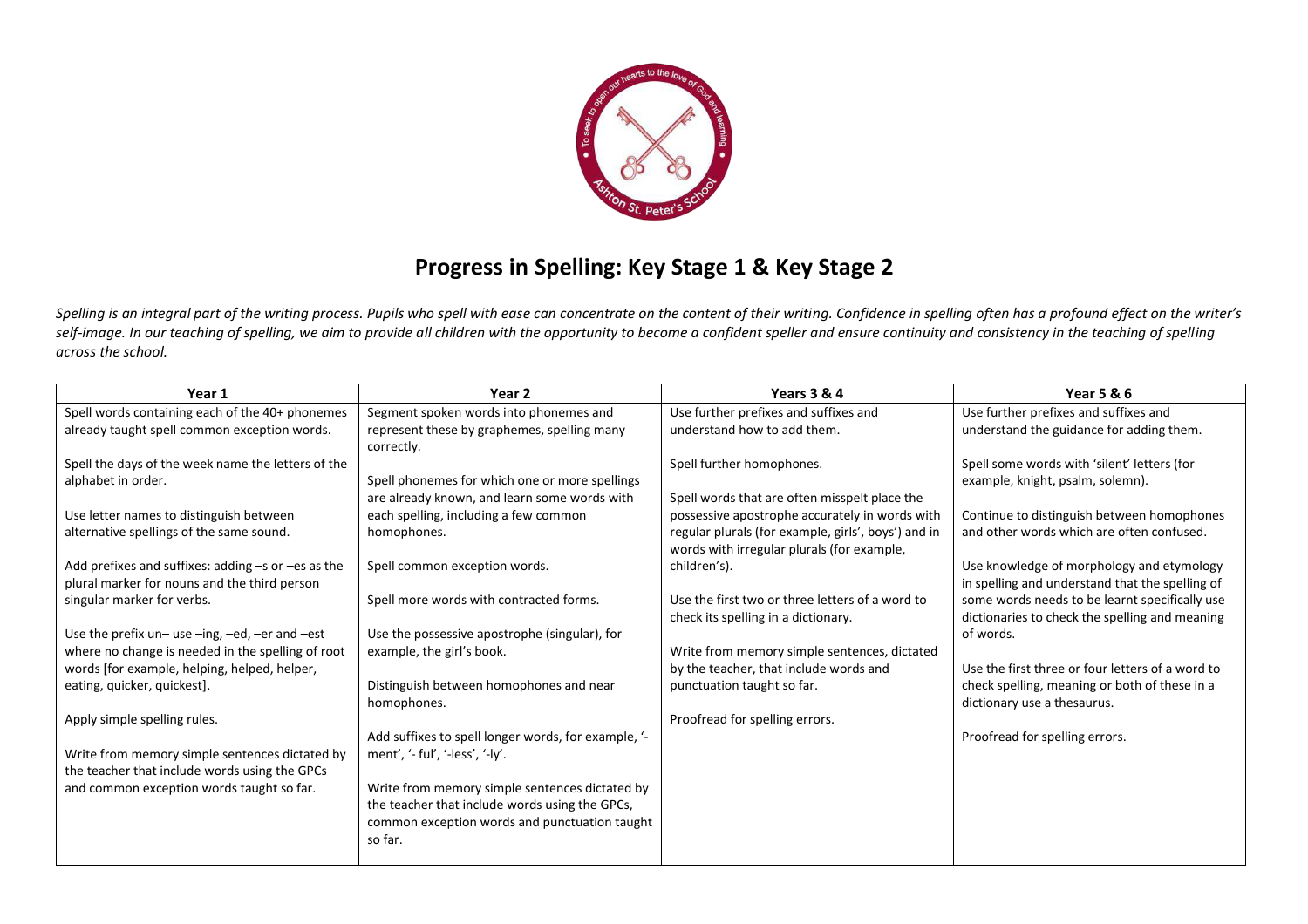

## **Progress in Spelling: Key Stage 1 & Key Stage 2**

Spelling is an integral part of the writing process. Pupils who spell with ease can concentrate on the content of their writing. Confidence in spelling often has a profound effect on the writer's self-image. In our teaching of spelling, we aim to provide all children with the opportunity to become a confident speller and ensure continuity and consistency in the teaching of spelling *across the school.* 

| Year 1                                                                                                 | Year 2                                                    | Years 3 & 4                                                                                       | <b>Year 5 &amp; 6</b>                                                                        |
|--------------------------------------------------------------------------------------------------------|-----------------------------------------------------------|---------------------------------------------------------------------------------------------------|----------------------------------------------------------------------------------------------|
| Spell words containing each of the 40+ phonemes                                                        | Segment spoken words into phonemes and                    | Use further prefixes and suffixes and                                                             | Use further prefixes and suffixes and                                                        |
| already taught spell common exception words.                                                           | represent these by graphemes, spelling many<br>correctly. | understand how to add them.                                                                       | understand the guidance for adding them.                                                     |
| Spell the days of the week name the letters of the                                                     |                                                           | Spell further homophones.                                                                         | Spell some words with 'silent' letters (for                                                  |
| alphabet in order.                                                                                     | Spell phonemes for which one or more spellings            |                                                                                                   | example, knight, psalm, solemn).                                                             |
|                                                                                                        | are already known, and learn some words with              | Spell words that are often misspelt place the                                                     |                                                                                              |
| Use letter names to distinguish between                                                                | each spelling, including a few common                     | possessive apostrophe accurately in words with                                                    | Continue to distinguish between homophones                                                   |
| alternative spellings of the same sound.                                                               | homophones.                                               | regular plurals (for example, girls', boys') and in<br>words with irregular plurals (for example, | and other words which are often confused.                                                    |
| Add prefixes and suffixes: adding $-s$ or $-es$ as the<br>plural marker for nouns and the third person | Spell common exception words.                             | children's).                                                                                      | Use knowledge of morphology and etymology<br>in spelling and understand that the spelling of |
| singular marker for verbs.                                                                             | Spell more words with contracted forms.                   | Use the first two or three letters of a word to                                                   | some words needs to be learnt specifically use                                               |
|                                                                                                        |                                                           | check its spelling in a dictionary.                                                               | dictionaries to check the spelling and meaning                                               |
| Use the prefix $un$ -use -ing, -ed, -er and -est                                                       | Use the possessive apostrophe (singular), for             |                                                                                                   | of words.                                                                                    |
| where no change is needed in the spelling of root                                                      | example, the girl's book.                                 | Write from memory simple sentences, dictated                                                      |                                                                                              |
| words [for example, helping, helped, helper,                                                           |                                                           | by the teacher, that include words and                                                            | Use the first three or four letters of a word to                                             |
| eating, quicker, quickest].                                                                            | Distinguish between homophones and near                   | punctuation taught so far.                                                                        | check spelling, meaning or both of these in a                                                |
|                                                                                                        | homophones.                                               |                                                                                                   | dictionary use a thesaurus.                                                                  |
| Apply simple spelling rules.                                                                           |                                                           | Proofread for spelling errors.                                                                    |                                                                                              |
|                                                                                                        | Add suffixes to spell longer words, for example, '-       |                                                                                                   | Proofread for spelling errors.                                                               |
| Write from memory simple sentences dictated by                                                         | ment', '- ful', '-less', '-ly'.                           |                                                                                                   |                                                                                              |
| the teacher that include words using the GPCs                                                          |                                                           |                                                                                                   |                                                                                              |
| and common exception words taught so far.                                                              | Write from memory simple sentences dictated by            |                                                                                                   |                                                                                              |
|                                                                                                        | the teacher that include words using the GPCs,            |                                                                                                   |                                                                                              |
|                                                                                                        | common exception words and punctuation taught             |                                                                                                   |                                                                                              |
|                                                                                                        | so far.                                                   |                                                                                                   |                                                                                              |